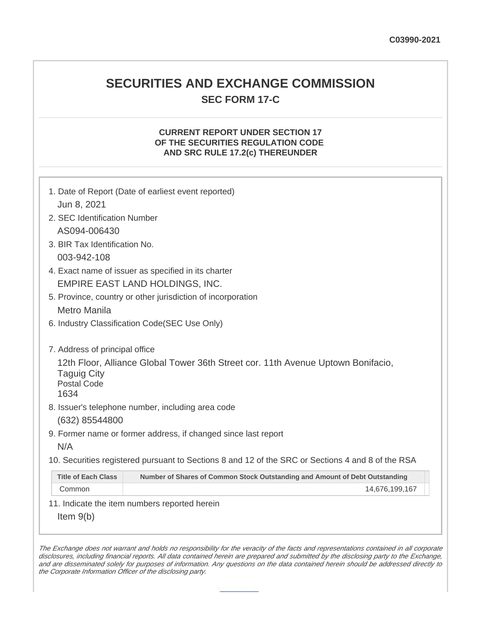## **SECURITIES AND EXCHANGE COMMISSION SEC FORM 17-C**

## **CURRENT REPORT UNDER SECTION 17 OF THE SECURITIES REGULATION CODE AND SRC RULE 17.2(c) THEREUNDER**

| 1. Date of Report (Date of earliest event reported)<br>Jun 8, 2021                                                                   |  |  |  |  |  |
|--------------------------------------------------------------------------------------------------------------------------------------|--|--|--|--|--|
|                                                                                                                                      |  |  |  |  |  |
| 2. SEC Identification Number                                                                                                         |  |  |  |  |  |
| AS094-006430                                                                                                                         |  |  |  |  |  |
| 3. BIR Tax Identification No.                                                                                                        |  |  |  |  |  |
| 003-942-108                                                                                                                          |  |  |  |  |  |
| 4. Exact name of issuer as specified in its charter                                                                                  |  |  |  |  |  |
| <b>EMPIRE EAST LAND HOLDINGS, INC.</b>                                                                                               |  |  |  |  |  |
| 5. Province, country or other jurisdiction of incorporation                                                                          |  |  |  |  |  |
| <b>Metro Manila</b>                                                                                                                  |  |  |  |  |  |
| 6. Industry Classification Code(SEC Use Only)                                                                                        |  |  |  |  |  |
| 7. Address of principal office                                                                                                       |  |  |  |  |  |
| 12th Floor, Alliance Global Tower 36th Street cor. 11th Avenue Uptown Bonifacio,<br><b>Taguig City</b><br><b>Postal Code</b><br>1634 |  |  |  |  |  |
| 8. Issuer's telephone number, including area code                                                                                    |  |  |  |  |  |
| (632) 85544800                                                                                                                       |  |  |  |  |  |
| 9. Former name or former address, if changed since last report                                                                       |  |  |  |  |  |
| N/A                                                                                                                                  |  |  |  |  |  |
| 10. Securities registered pursuant to Sections 8 and 12 of the SRC or Sections 4 and 8 of the RSA                                    |  |  |  |  |  |
| <b>Title of Each Class</b><br>Number of Shares of Common Stock Outstanding and Amount of Debt Outstanding                            |  |  |  |  |  |
| Common<br>14,676,199,167                                                                                                             |  |  |  |  |  |
| 11. Indicate the item numbers reported herein                                                                                        |  |  |  |  |  |
| Item $9(b)$                                                                                                                          |  |  |  |  |  |

The Exchange does not warrant and holds no responsibility for the veracity of the facts and representations contained in all corporate disclosures, including financial reports. All data contained herein are prepared and submitted by the disclosing party to the Exchange, and are disseminated solely for purposes of information. Any questions on the data contained herein should be addressed directly to the Corporate Information Officer of the disclosing party.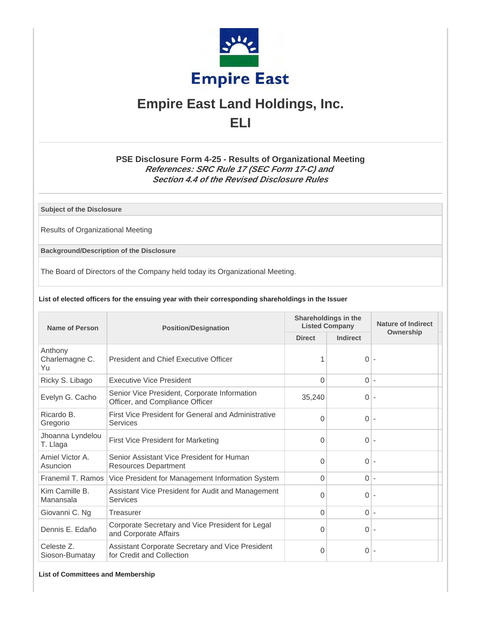

# **Empire East Land Holdings, Inc. ELI**

## **PSE Disclosure Form 4-25 - Results of Organizational Meeting References: SRC Rule 17 (SEC Form 17-C) and Section 4.4 of the Revised Disclosure Rules**

**Subject of the Disclosure**

Results of Organizational Meeting

**Background/Description of the Disclosure**

The Board of Directors of the Company held today its Organizational Meeting.

#### **List of elected officers for the ensuing year with their corresponding shareholdings in the Issuer**

| <b>Name of Person</b>           | <b>Position/Designation</b>                                                     | Shareholdings in the<br><b>Listed Company</b> |                | <b>Nature of Indirect</b> |
|---------------------------------|---------------------------------------------------------------------------------|-----------------------------------------------|----------------|---------------------------|
|                                 |                                                                                 | <b>Direct</b>                                 | Indirect       | Ownership                 |
| Anthony<br>Charlemagne C.<br>Yu | <b>President and Chief Executive Officer</b>                                    |                                               | $\overline{0}$ |                           |
| Ricky S. Libago                 | <b>Executive Vice President</b>                                                 | $\Omega$                                      | $\overline{0}$ | $\overline{a}$            |
| Evelyn G. Cacho                 | Senior Vice President, Corporate Information<br>Officer, and Compliance Officer | 35,240                                        | $\overline{0}$ | $\overline{a}$            |
| Ricardo B.<br>Gregorio          | First Vice President for General and Administrative<br><b>Services</b>          | 0                                             | $\Omega$       | $\overline{a}$            |
| Jhoanna Lyndelou<br>T. Llaga    | First Vice President for Marketing                                              | $\Omega$                                      | $\Omega$       |                           |
| Amiel Victor A.<br>Asuncion     | Senior Assistant Vice President for Human<br><b>Resources Department</b>        | $\Omega$                                      | $\Omega$       |                           |
| Franemil T. Ramos               | Vice President for Management Information System                                | $\Omega$                                      | $0$ -          |                           |
| Kim Camille B.<br>Manansala     | Assistant Vice President for Audit and Management<br><b>Services</b>            | $\Omega$                                      | $\overline{0}$ |                           |
| Giovanni C. Ng                  | Treasurer                                                                       | $\Omega$                                      | $0$ -          |                           |
| Dennis E. Edaño                 | Corporate Secretary and Vice President for Legal<br>and Corporate Affairs       | $\Omega$                                      | $\overline{0}$ |                           |
| Celeste Z.<br>Sioson-Bumatay    | Assistant Corporate Secretary and Vice President<br>for Credit and Collection   | 0                                             | 0 <sup>1</sup> |                           |

**List of Committees and Membership**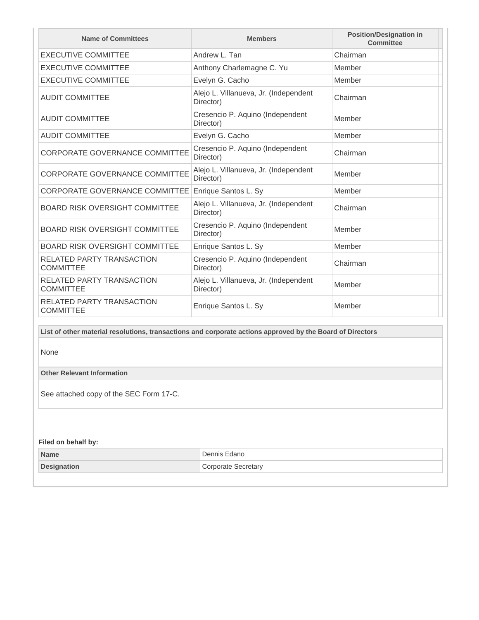| <b>Name of Committees</b>                                                                                 | <b>Members</b>                                     | <b>Position/Designation in</b><br>Committee |  |  |
|-----------------------------------------------------------------------------------------------------------|----------------------------------------------------|---------------------------------------------|--|--|
| <b>EXECUTIVE COMMITTEE</b>                                                                                | Andrew L. Tan                                      | Chairman                                    |  |  |
| <b>EXECUTIVE COMMITTEE</b>                                                                                | Anthony Charlemagne C. Yu                          | Member                                      |  |  |
| <b>EXECUTIVE COMMITTEE</b>                                                                                | Evelyn G. Cacho                                    | Member                                      |  |  |
| <b>AUDIT COMMITTEE</b>                                                                                    | Alejo L. Villanueva, Jr. (Independent<br>Director) | Chairman                                    |  |  |
| <b>AUDIT COMMITTEE</b>                                                                                    | Cresencio P. Aquino (Independent<br>Director)      | Member                                      |  |  |
| <b>AUDIT COMMITTEE</b>                                                                                    | Evelyn G. Cacho                                    | Member                                      |  |  |
| <b>CORPORATE GOVERNANCE COMMITTEE</b>                                                                     | Cresencio P. Aquino (Independent<br>Director)      | Chairman                                    |  |  |
| <b>CORPORATE GOVERNANCE COMMITTEE</b>                                                                     | Alejo L. Villanueva, Jr. (Independent<br>Director) | Member                                      |  |  |
| CORPORATE GOVERNANCE COMMITTEE                                                                            | Enrique Santos L. Sy                               | Member                                      |  |  |
| <b>BOARD RISK OVERSIGHT COMMITTEE</b>                                                                     | Alejo L. Villanueva, Jr. (Independent<br>Director) | Chairman                                    |  |  |
| BOARD RISK OVERSIGHT COMMITTEE                                                                            | Cresencio P. Aquino (Independent<br>Director)      | Member                                      |  |  |
| BOARD RISK OVERSIGHT COMMITTEE                                                                            | Enrique Santos L. Sy                               | Member                                      |  |  |
| RELATED PARTY TRANSACTION<br><b>COMMITTEE</b>                                                             | Cresencio P. Aquino (Independent<br>Director)      | Chairman                                    |  |  |
| <b>RELATED PARTY TRANSACTION</b><br><b>COMMITTEE</b>                                                      | Alejo L. Villanueva, Jr. (Independent<br>Director) | Member                                      |  |  |
| <b>RELATED PARTY TRANSACTION</b><br><b>COMMITTEE</b>                                                      | Enrique Santos L. Sy                               | Member                                      |  |  |
| List of other material resolutions, transactions and corporate actions approved by the Board of Directors |                                                    |                                             |  |  |

None

**Other Relevant Information**

See attached copy of the SEC Form 17-C.

## **Filed on behalf by:**

| <b>Name</b>        | Dennis Edano            |
|--------------------|-------------------------|
| <b>Designation</b> | Secretary<br>`ornorate` |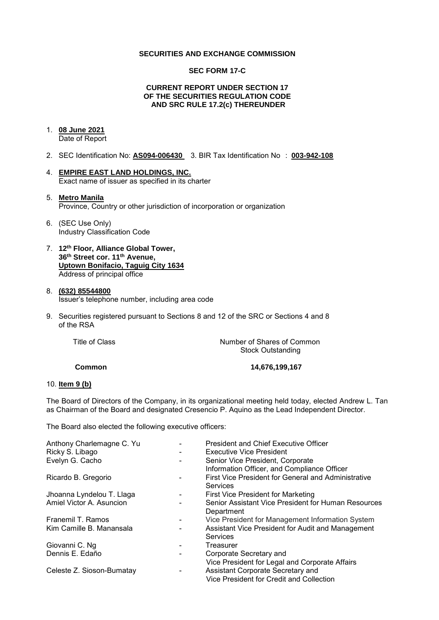#### **SECURITIES AND EXCHANGE COMMISSION**

#### **SEC FORM 17-C**

#### **CURRENT REPORT UNDER SECTION 17 OF THE SECURITIES REGULATION CODE AND SRC RULE 17.2(c) THEREUNDER**

## 1. **08 June 2021**

Date of Report

- 2. SEC Identification No: **AS094-006430** 3. BIR Tax Identification No : **003-942-108**
- 4. **EMPIRE EAST LAND HOLDINGS, INC.**  Exact name of issuer as specified in its charter

#### 5. **Metro Manila**  Province, Country or other jurisdiction of incorporation or organization

- 6. (SEC Use Only) Industry Classification Code
- 7. **12th Floor, Alliance Global Tower, 36th Street cor. 11th Avenue, Uptown Bonifacio, Taguig City 1634** Address of principal office

#### 8. **(632) 85544800**  Issuer's telephone number, including area code

9. Securities registered pursuant to Sections 8 and 12 of the SRC or Sections 4 and 8 of the RSA

| Title of Class | Number of Shares of Common |
|----------------|----------------------------|
|                | <b>Stock Outstanding</b>   |
|                |                            |

 **Common 14,676,199,167** 

#### 10. **Item 9 (b)**

The Board of Directors of the Company, in its organizational meeting held today, elected Andrew L. Tan as Chairman of the Board and designated Cresencio P. Aquino as the Lead Independent Director.

The Board also elected the following executive officers:

| Anthony Charlemagne C. Yu | <b>President and Chief Executive Officer</b>                                    |
|---------------------------|---------------------------------------------------------------------------------|
| Ricky S. Libago           | <b>Executive Vice President</b>                                                 |
| Evelyn G. Cacho           | Senior Vice President, Corporate<br>Information Officer, and Compliance Officer |
| Ricardo B. Gregorio       | First Vice President for General and Administrative<br>Services                 |
| Jhoanna Lyndelou T. Llaga | First Vice President for Marketing                                              |
| Amiel Victor A. Asuncion  | Senior Assistant Vice President for Human Resources<br>Department               |
| Franemil T. Ramos         | Vice President for Management Information System                                |
| Kim Camille B. Manansala  | Assistant Vice President for Audit and Management<br><b>Services</b>            |
| Giovanni C. Ng            | Treasurer                                                                       |
| Dennis E. Edaño           | Corporate Secretary and                                                         |
|                           | Vice President for Legal and Corporate Affairs                                  |
| Celeste Z. Sioson-Bumatay | Assistant Corporate Secretary and<br>Vice President for Credit and Collection   |